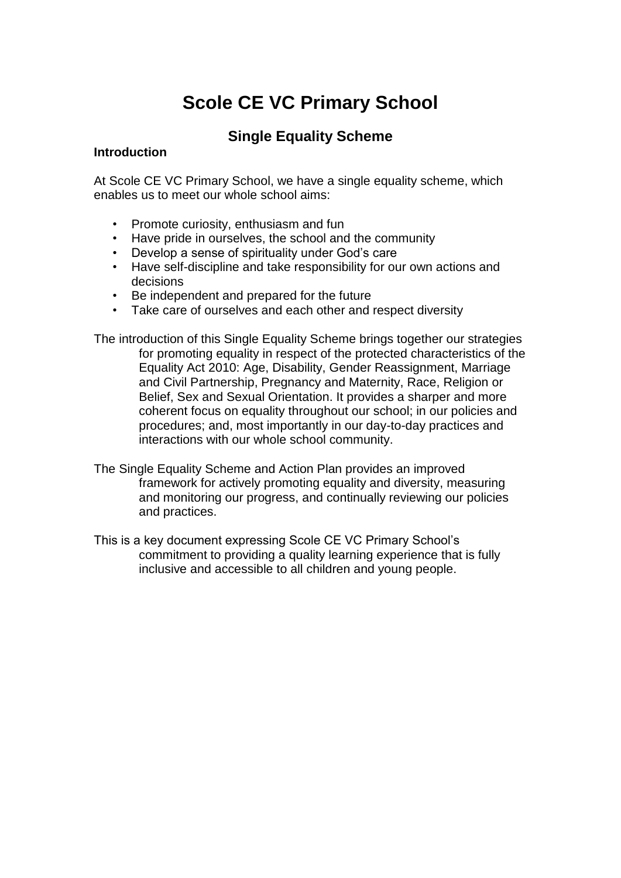# **Scole CE VC Primary School**

# **Single Equality Scheme**

#### **Introduction**

At Scole CE VC Primary School, we have a single equality scheme, which enables us to meet our whole school aims:

- Promote curiosity, enthusiasm and fun
- Have pride in ourselves, the school and the community
- Develop a sense of spirituality under God's care
- Have self-discipline and take responsibility for our own actions and decisions
- Be independent and prepared for the future
- Take care of ourselves and each other and respect diversity

The introduction of this Single Equality Scheme brings together our strategies for promoting equality in respect of the protected characteristics of the Equality Act 2010: Age, Disability, Gender Reassignment, Marriage and Civil Partnership, Pregnancy and Maternity, Race, Religion or Belief, Sex and Sexual Orientation. It provides a sharper and more coherent focus on equality throughout our school; in our policies and procedures; and, most importantly in our day-to-day practices and interactions with our whole school community.

- The Single Equality Scheme and Action Plan provides an improved framework for actively promoting equality and diversity, measuring and monitoring our progress, and continually reviewing our policies and practices.
- This is a key document expressing Scole CE VC Primary School's commitment to providing a quality learning experience that is fully inclusive and accessible to all children and young people.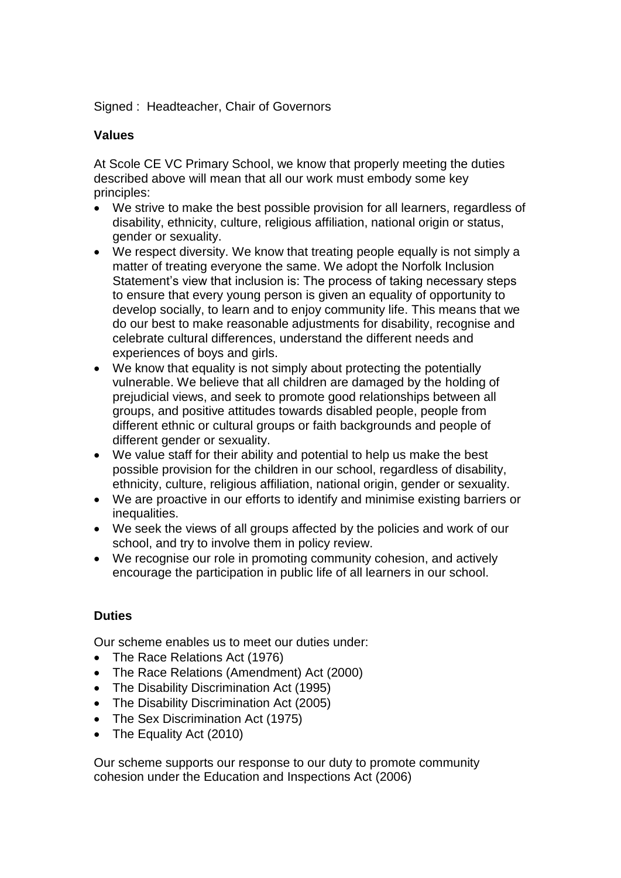Signed : Headteacher, Chair of Governors

#### **Values**

At Scole CE VC Primary School, we know that properly meeting the duties described above will mean that all our work must embody some key principles:

- We strive to make the best possible provision for all learners, regardless of disability, ethnicity, culture, religious affiliation, national origin or status, gender or sexuality.
- We respect diversity. We know that treating people equally is not simply a matter of treating everyone the same. We adopt the Norfolk Inclusion Statement's view that inclusion is: The process of taking necessary steps to ensure that every young person is given an equality of opportunity to develop socially, to learn and to enjoy community life. This means that we do our best to make reasonable adjustments for disability, recognise and celebrate cultural differences, understand the different needs and experiences of boys and girls.
- We know that equality is not simply about protecting the potentially vulnerable. We believe that all children are damaged by the holding of prejudicial views, and seek to promote good relationships between all groups, and positive attitudes towards disabled people, people from different ethnic or cultural groups or faith backgrounds and people of different gender or sexuality.
- We value staff for their ability and potential to help us make the best possible provision for the children in our school, regardless of disability, ethnicity, culture, religious affiliation, national origin, gender or sexuality.
- We are proactive in our efforts to identify and minimise existing barriers or inequalities.
- We seek the views of all groups affected by the policies and work of our school, and try to involve them in policy review.
- We recognise our role in promoting community cohesion, and actively encourage the participation in public life of all learners in our school.

# **Duties**

Our scheme enables us to meet our duties under:

- The Race Relations Act (1976)
- The Race Relations (Amendment) Act (2000)
- The Disability Discrimination Act (1995)
- The Disability Discrimination Act (2005)
- The Sex Discrimination Act (1975)
- The Equality Act (2010)

Our scheme supports our response to our duty to promote community cohesion under the Education and Inspections Act (2006)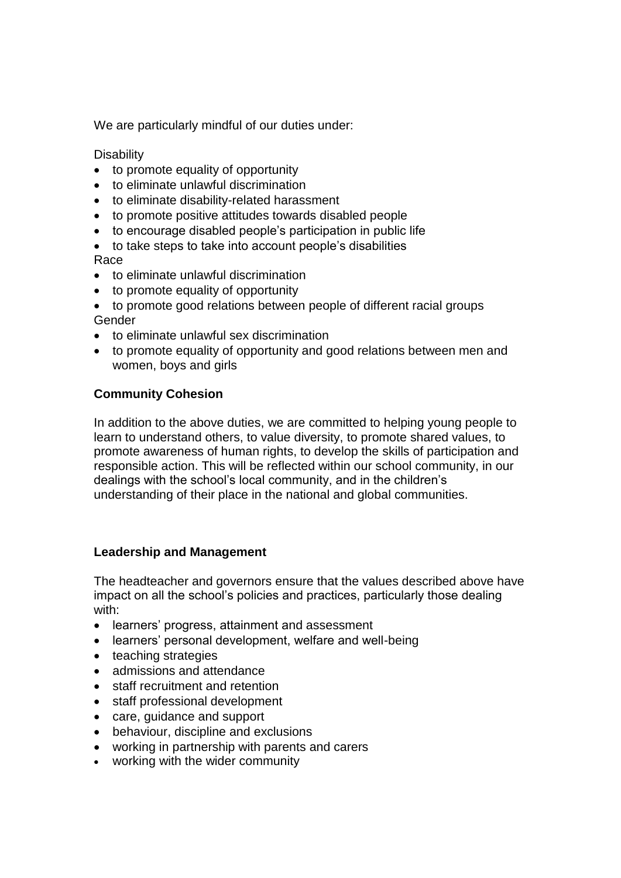We are particularly mindful of our duties under:

**Disability** 

- to promote equality of opportunity
- to eliminate unlawful discrimination
- to eliminate disability-related harassment
- to promote positive attitudes towards disabled people
- to encourage disabled people's participation in public life
- to take steps to take into account people's disabilities Race
- to eliminate unlawful discrimination
- to promote equality of opportunity
- to promote good relations between people of different racial groups **Gender**
- to eliminate unlawful sex discrimination
- to promote equality of opportunity and good relations between men and women, boys and girls

# **Community Cohesion**

In addition to the above duties, we are committed to helping young people to learn to understand others, to value diversity, to promote shared values, to promote awareness of human rights, to develop the skills of participation and responsible action. This will be reflected within our school community, in our dealings with the school's local community, and in the children's understanding of their place in the national and global communities.

#### **Leadership and Management**

The headteacher and governors ensure that the values described above have impact on all the school's policies and practices, particularly those dealing with:

- learners' progress, attainment and assessment
- learners' personal development, welfare and well-being
- teaching strategies
- admissions and attendance
- staff recruitment and retention
- staff professional development
- care, guidance and support
- behaviour, discipline and exclusions
- working in partnership with parents and carers
- working with the wider community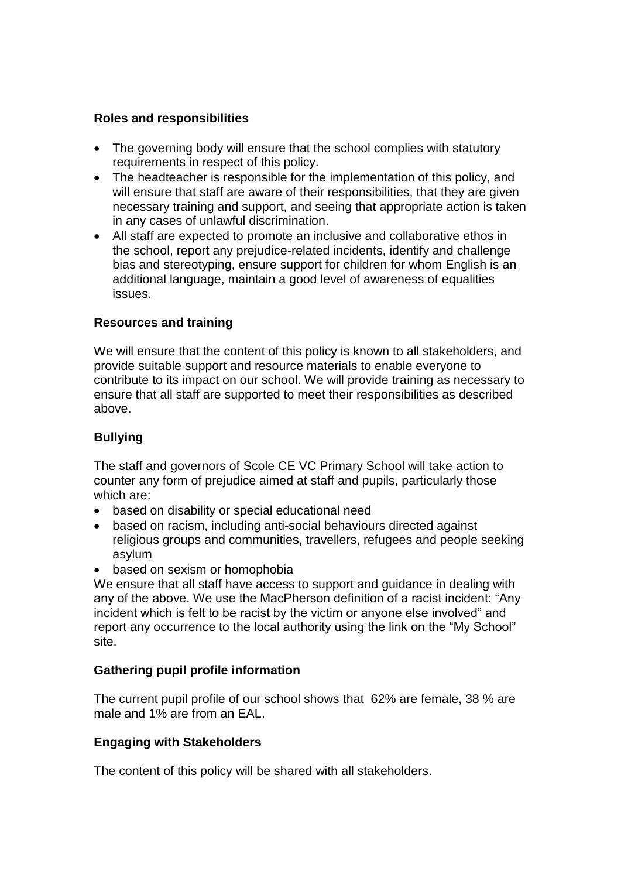# **Roles and responsibilities**

- The governing body will ensure that the school complies with statutory requirements in respect of this policy.
- The headteacher is responsible for the implementation of this policy, and will ensure that staff are aware of their responsibilities, that they are given necessary training and support, and seeing that appropriate action is taken in any cases of unlawful discrimination.
- All staff are expected to promote an inclusive and collaborative ethos in the school, report any prejudice-related incidents, identify and challenge bias and stereotyping, ensure support for children for whom English is an additional language, maintain a good level of awareness of equalities issues.

# **Resources and training**

We will ensure that the content of this policy is known to all stakeholders, and provide suitable support and resource materials to enable everyone to contribute to its impact on our school. We will provide training as necessary to ensure that all staff are supported to meet their responsibilities as described above.

# **Bullying**

The staff and governors of Scole CE VC Primary School will take action to counter any form of prejudice aimed at staff and pupils, particularly those which are:

- based on disability or special educational need
- based on racism, including anti-social behaviours directed against religious groups and communities, travellers, refugees and people seeking asylum
- based on sexism or homophobia

We ensure that all staff have access to support and guidance in dealing with any of the above. We use the MacPherson definition of a racist incident: "Any incident which is felt to be racist by the victim or anyone else involved" and report any occurrence to the local authority using the link on the "My School" site.

# **Gathering pupil profile information**

The current pupil profile of our school shows that 62% are female, 38 % are male and 1% are from an EAL.

#### **Engaging with Stakeholders**

The content of this policy will be shared with all stakeholders.